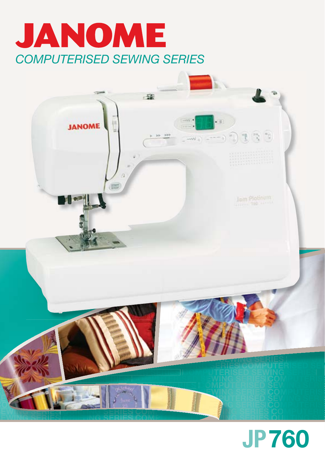